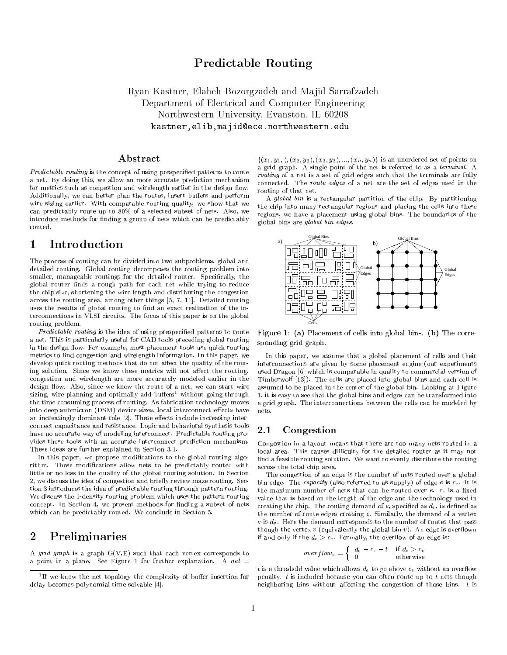# Predictable Routing

Ryan Kastner, Elaheh Bozorgzadeh and Ma jid Sarrafzadeh Department of Electrical and Computer Engineering Northwestern University, Evanston, IL <sup>60208</sup> kastner,elib,majid@ece.northwestern.edu

### Abstract

Predictable routing is the concept of using prespecified patterns to route a net. By doing this, we allow an more accurate prediction mechanism for metrics such as congestion and wirelength earlier in the design flow.  $\frac{\text{counting of that net}}{\text{counting of that net}}$ . Additionally, we can better plan the routes, insert buffers and perform wire sizing earlier. With comparable routing quality, we show that we can predictably route up to 80% of a selected subset of nets. Also, we introduce methods for finding a group of nets which can be predictably routed.

### 1 Introduction

The process of routing can be divided into two subproblems, global and detailed routing. Global routing decomposes the routing problem into smaller, manageable routings for the detailed router. Specifically, the global router nds a rough path for each net while trying to reduce the chip size, shortening the wire length and distributing the congestion across the routing area, among other things [5, 7, 11]. Detailed routing uses the results of global routing to find an exact realization of the interconnections in VLSI circuits. The focus of this paper is on the global routing problem.

Predictable routing is the idea of using prespecified patterns to route a net. This is particularly useful for CAD tools preceding global routing in the design flow. For example, most placement tools use quick routing metrics to find congestion and wirelength information. In this paper, we develop quick routing methods that do not affect the quality of the routing solution. Since we know these metrics will not affect the routing, congestion and wirelength are more accurately modeled earlier in the design flow. Also, since we know the route of a net, we can start wire sizing, wire planning and optimally add buffers<sup>1</sup> without going through the time consuming process of routing. As fabrication technology moves into deep submicron (DSM) device sizes, local interconnect effects have an increasingly dominant role  $[2]$ . These effects include increasing interconnect capacitance and resistance. Logic and behavioral synthesis tools  $2.1$ have no accurate way of modeling interconnect. Predictable routing provides these tools with an accurate interconnect prediction mechanism. These ideas are further explained in Section 3.1.

In this paper, we propose modifications to the global routing algorithm. These modifications allow nets to be predictably routed with little or no loss in the quality of the global routing solution. In Section 2, we discuss the idea of congestion and briefly review maze routing. Section 3 introduces the idea of predictable routing through pattern routing. We discuss the 1-density routing problem which uses the pattern routing concept. In Section 4, we present methods for finding a subset of nets which can be predictably routed. We conclude in Section 5.

A *grid graph* is a graph  $G(V, E)$  such that each vertex corresponds to a point in a plane. See Figure 1 for further explanation. A  $net =$ 

 $\{(x_1,y_1,),(x_2,y_2),(x_3,y_3),...,(x_n,y_n)\}\)$  is an unordered set of points on a grid graph. A single point of the net is referred to as a terminal. A routing of a net is a set of grid edges such that the terminals are fully connected. The route edges of a net are the set of edges used in the routing of that net.

A global bin is a rectangular partition of the chip. By partitioning the chip into many rectangular regions and placing the cells into these regions, we have a placement using global bins. The boundaries of the global bins are global bin edges.



Figure 1: (a) Placement of cells into global bins. (b) The corresponding grid graph.

In this paper, we assume that a global placement of cells and their interconnections are given by some placement engine (our experiments used Dragon [6] which is comparable in quality to commercial version of Timberwolf [13]). The cells are placed into global bins and each cell is assumed to be placed in the center of the global bin. Looking at Figure 1, it is easy to see that the global bins and edges can be transformed into a grid graph. The interconnections between the cells can be modeled by nets.

## **Congestion**

Congestion in a layout means that there are too many nets routed in a local area. This causes difficulty for the detailed router as it may not find a feasible routing solution. We want to evenly distribute the routing across the total chip area.

The congestion of an edge is the number of nets routed over a global bin edge. The *capacity* (also referred to as supply) of edge e is  $c_e$ . It is the maximum number of nets that can be routed over  $e$ .  $c_e$  is a fixed value that is based on the length of the edge and the technology used in creating the chip. The routing demand of  $e$ , specified as  $d_e$ , is defined as the number of route edges crossing e. Similarly, the demand of a vertex v is  $d_v$ . Here the demand corresponds to the number of routes that pass though the vertex  $v$  (equivalently the global bin  $v$ ). An edge is overflown if and only if the  $d_e > c_e$ . Formally, the overflow of an edge is:

$$
overflow_e = \begin{cases} d_e - c_e - t & \text{if } d_e > c_e \\ 0 & \text{otherwise} \end{cases}
$$

t is a threshold value which allows  $d_e$  to go above  $c_e$  without an overflow penalty.  $t$  is included because you can often route up to  $t$  nets though neighboring bins without affecting the congestion of those bins.  $t$  is

If we know the net topology the complexity of builer insertion for a pena delay becomes polynomial time solvable [4].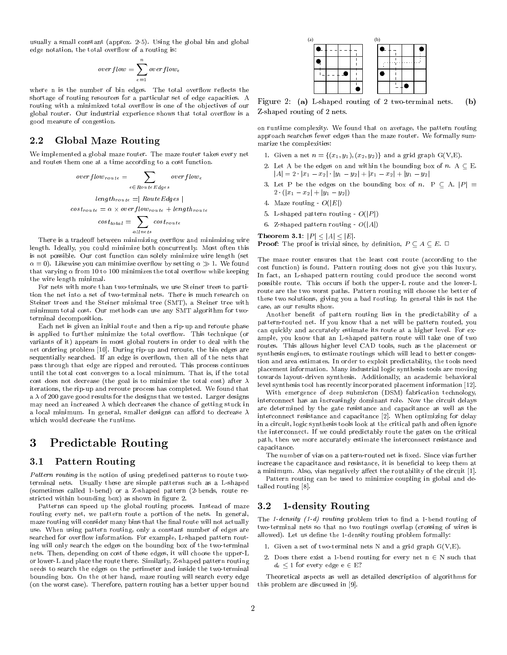usually a small constant (approx. 2-5). Using the global bin and global edge notation, the total overflow of a routing is:

$$
overflow = \sum_{e=1}^{n} overflow_e
$$

where n is the number of bin edges. The total overflow reflects the shortage of routing resources for a particular set of edge capacities. A routing with a minimized total overflow is one of the objectives of our global router. Our industrial experience shows that total overflow is a good measure of congestion.

## 2.2 Global Maze Routing

We implemented a global maze router. The maze router takes every net and routes them one at a time according to a cost function.

$$
overflow_{route} = \sum_{e \in RouteEdges} overflow_e
$$
  
\n
$$
length_{route} = | RouteEdges|
$$
  
\n
$$
cost_{route} = \alpha \times overflow_{route} + length_{route}
$$
  
\n
$$
cost_{total} = \sum_{allnets} cost_{route}
$$

There is a tradeoff between minimizing overflow and minimizing wire length. Ideally, you could minimize both concurrently. Most often this is not possible. Our cost function can solely minimize wire length (set  $\alpha = 0$ ). Likewise you can minimize overflow by setting  $\alpha \gg 1$ . We found that varying  $\alpha$  from 10 to 100 minimizes the total overflow while keeping the wire length minimal.

For nets with more than two-terminals, we use Steiner trees to partition the net into a set of two-terminal nets. There is much research on Steiner trees and the Steiner minimal tree (SMT), a Steiner tree with minimum total cost. Our methods can use any SMT algorithm for two terminal decomposition.

Each net is given an initial route and then a rip-up and reroute phase is applied to further minimize the total overflow. This technique (or variants of it) appears in most global routers in order to deal with the net ordering problem [10]. During rip-up and reroute, the bin edges are sequentially searched. If an edge is overflown, then all of the nets that pass through that edge are ripped and rerouted. This process continues until the total cost converges to a local minimum. That is, if the total cost does not decrease (the goal is to minimize the total cost) after  $\lambda$ iterations, the rip-up and reroute process has completed. We found that a  $\lambda$  of 200 gave good results for the designs that we tested. Larger designs may need an increased  $\lambda$  which decreases the chance of getting stuck in a local minimum. In general, smaller designs can afford to decrease  $\lambda$ which would decrease the runtime.

### Predictable Routing 3

### 3.1 Pattern Routing

Pattern routing is the notion of using predefined patterns to route twoterminal nets. Usually these are simple patterns such as a L-shaped (sometimes called 1-bend) or a Z-shaped pattern (2-bends, route re stricted within bounding box) as shown in figure 2. stricted within bounding box) as shown in gure 2.

Patterns can speed up the global routing process. Instead of maze  $3.2$ routing every net, we pattern route a portion of the nets. In general, maze routing will consider many bins that the final route will not actually use. When using pattern routing, only a constant number of edges are searched for overflow information. For example, L-shaped pattern routing will only search the edges on the bounding box of the two-terminal nets. Then, depending on cost of these edges, it will choose the upper-L or lower-L and place the route there. Similarly, Z-shaped pattern routing needs to search the edges on the perimeter and inside the two-terminal bounding box. On the other hand, maze routing will search every edge (on the worst case). Therefore, pattern routing has a better upper bound

| (a) |  |  | (b) |  |  |
|-----|--|--|-----|--|--|
|     |  |  |     |  |  |
|     |  |  |     |  |  |
|     |  |  |     |  |  |
|     |  |  |     |  |  |

 $\mathcal{L}$  is a set  $\mathcal{L}$  . The shaped routing of 2 two-terminal networks  $\mathcal{L}$  to  $\mathcal{L}$ Z-shaped routing of 2 nets.

on runtime complexity. We found that on average, the pattern routing approach searches fewer edges than the maze router. We formally summarize the complexities:

- 1. Given a net  $n = \{(x_1, y_1), (x_2, y_2)\}\$ and a grid graph G(V,E).
- 2. Let A be the edges on and within the bounding box of  $n. A \subseteq E$ .  $|A| = 2 \cdot |x_1 - x_2| \cdot |y_1 - y_2| + |x_1 - x_2| + |y_1 - y_2|$
- 3. Let P be the edges on the bounding box of n. P  $\subseteq$  A.  $|P|$  =  $2 \cdot (|x_1 - x_2| + |y_1 - y_2|)$
- 4. Maze routing  $O(|E|)$
- 5. L-shaped pattern routing  $O(|P|)$
- 6. Z-shaped pattern routing  $O(|A|)$

Theorem 3.1:  $|P| < |A| < |E|$ . **Proof:** The proof is trivial since, by definition,  $P \subseteq A \subseteq E$ .  $\Box$ 

The maze router ensures that the least cost route (according to the cost function) is found. Pattern routing does not give you this luxury. In fact, an L-shaped pattern routing could produce the second worst possible route. This occurs if both the upper-L route and the lower-L route are the two worst paths. Pattern routing will choose the better of these two solutions, giving you a bad routing. In general this is not the case, as our results show.

Another benefit of pattern routing lies in the predictability of a pattern-routed net. If you know that a net will be pattern routed, you can quickly and accurately estimate its route at a higher level. For ex ample, you know that an L-shaped pattern route will take one of two routes. This allows higher level CAD tools, such as the placement or synthesis engines, to estimate routings which will lead to better congestion and area estimates. In order to exploit predictability, the tools need placement information. Many industrial logic synthesis tools are moving towards layout-driven synthesis. Additionally, an academic behavioral level synthesis tool has recently incorporated placement information [12].

With emergence of deep submicron (DSM) fabrication technology, interconnect has an increasingly dominant role. Now the circuit delays are determined by the gate resistance and capacitance as well as the interconnect resistance and capacitance [2]. When optimizing for delay in a circuit, logic synthesis tools look at the critical path and often ignore the interconnect. If we could predictably route the gates on the critical path, then we more accurately estimate the interconnect resistance and capacitance.

The number of vias on a pattern-routed net is fixed. Since vias further increase the capacitance and resistance, it is beneficial to keep them at a minimum. Also, vias negatively affect the routability of the circuit  $[1]$ .

Pattern routing can be used to minimize coupling in global and detailed routing [8].

## 1-density Routing

The 1-density  $(1-d)$  routing problem tries to find a 1-bend routing of two-terminal nets so that no two routings overlap (crossing of wires is allowed). Let us define the 1-density routing problem formally:

- 1. Given a set of two-terminal nets N and a grid graph G(V,E).
- 2. Does there exist a 1-bend routing for every net  $n \in N$  such that  $d_e$  < 1 for every edge e  $\in$  E?

Theoretical aspects as well as detailed description of algorithms for this problem are discussed in [9].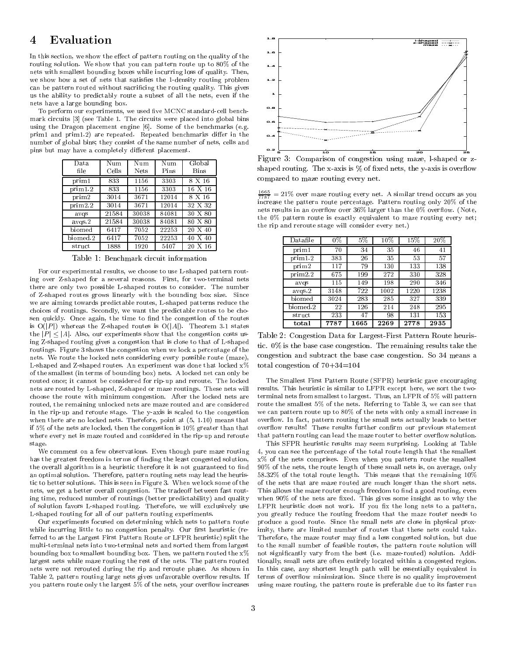### 4Evaluation

In this section, we show the effect of pattern routing on the quality of the routing solution. We show that you can pattern route up to 80% of the nets with smallest bounding boxes while incurring loss of quality. Then, we show how a set of nets that satisfies the 1-density routing problem can be pattern routed without sacricing the routing quality. This gives us the ability to predictably route a subset of all the nets, even if the nets have a large bounding box.

To perform our experiments, we used five MCNC standard-cell benchmark circuits [3] (see Table 1. The circuits were placed into global bins using the Dragon placement engine [6]. Some of the benchmarks (e.g. prim1 and prim1.2) are repeated. Repeated benchmarks differ in the number of global bins; they consist of the same number of nets, cells and pins but may have a completely different placement.

| Data     | Num   | Num   | Num   | Global  |
|----------|-------|-------|-------|---------|
| file     | Cells | Nets  | Pins  | Bins    |
| prim1    | 833   | 1156  | 3303  | 8 X 16  |
| prim1.2  | 833   | 1156  | 3303  | 16 X 16 |
| prim2    | 3014  | 3671  | 12014 | 8 X 16  |
| prim2.2  | 3014  | 3671  | 12014 | 32 X 32 |
| avqs     | 21584 | 30038 | 84081 | 30 X 80 |
| avgs.2   | 21584 | 30038 | 84081 | 80 X 80 |
| biomed   | 6417  | 7052  | 22253 | 20 X 40 |
| biomed.2 | 6417  | 7052  | 22253 | 40 X 40 |
| struct   | 1888  | 1920  | 5407  | 20 X 16 |

Table 1: Benchmark circuit information

For our experimental results, we choose to use L-shaped pattern routing over Z-shaped for a several reasons. First, for two-terminal nets there are only two possible L-shaped routes to consider. The number of Z-shaped routes grows linearly with the bounding box size. Since we are aiming towards predictable routes, L-shaped patterns reduce the choices of routings. Secondly, we want the predictable routes to be chosen quickly. Once again, the time to find the congestion of the routes is  $O(|P|)$  whereas the Z-shaped routes is  $O(|A|)$ . Theorem 3.1 states the  $|P| < |A|$ . Also, our experiments show that the congestion costs using Z-shaped routing gives a congestion that is close to that of L-shaped routings. Figure 3 shows the congestion when we lock a percentage of the nets. We route the locked nets considering every possible route (maze), L-shaped and Z-shaped routes. An experiment was done that locked x% of the smallest (in terms of bounding box) nets. A locked net can only be routed once; it cannot be considered for rip-up and reroute. The locked nets are routed by L-shaped, Z-shaped or maze routings. These nets will choose the route with minimum congestion. After the locked nets are routed, the remaining unlocked nets are maze routed and are considered in the rip-up and reroute stage. The y-axis is scaled to the congestion when there are no locked nets. Therefore, point at (5, 1.10) means that if 5% of the nets are locked, then the congestion is 10% greater than that where every net is maze routed and considered in the rip-up and reroute stage.

We comment on a few observations. Even though pure maze routing has the greatest freedom in terms of finding the least congested solution, the overall algorithm is a heuristic therefore it is not guaranteed to find an optimal solution. Therefore, pattern routing nets may lead the heuristic to better solutions. This is seen in Figure 3. When we lock some of the nets, we get a better overall congestion. The tradeoff between fast routing time, reduced number of routings (better predictability) and quality of solution favors L-shaped routing. Therefore, we will exclusively use L-shaped routing for all of our pattern routing experiments.

Our experiments focused on determining which nets to pattern route while incurring little to no congestion penalty. Our first heuristic (referred to as the Largest First Pattern Route or LFPR heuristic) split the multi-terminal nets into two-terminal nets and sorted them from largest bounding box to smallest bounding box. Then, we pattern routed the  $x\%$ largest nets while maze routing the rest of the nets. The pattern routed nets were not rerouted during the rip and reroute phase. As shown in Table 2, pattern routing large nets gives unfavorable overflow results. If you pattern route only the largest 5% of the nets, your overflow increases



Figure 3: Comparison of congestion using maze, l-shaped orz shaped routing. The x-axis is  $%$  of fixed nets, the y-axis is overflow compared to maze routing every net.

 $\frac{2787}{7787}$  = 21% over maze routing every net. A similar trend occurs as you increase the pattern route percentage. Pattern routing only 20% of the nets results in an overflow over 36% larger than the 0% overflow. (Note, the 0% pattern route is exactly equivalent to maze routing every net; the rip and reroute stage will consider every net.)

| Datafile | $0\%$ | $5\%$ | 10%  | 15%  | 20%  |
|----------|-------|-------|------|------|------|
| prim1    | 70    | 34    | 35   | 46   | 41   |
| prim1.2  | 383   | 26    | 35   | 53   | 57   |
| prim2    | 117   | 79    | 130  | 133  | 138  |
| prim2.2  | 675   | 199   | 272  | 330  | 328  |
| avqs     | 115   | 149   | 198  | 290  | 346  |
| avgs.2   | 3148  | 722   | 1002 | 1220 | 1238 |
| biomed   | 3024  | 283   | 285  | 327  | 339  |
| biomed 2 | 22    | 126   | 214  | 248  | 295  |
| struct   | 233   | 47    | 98   | 131  | 153  |
| total    | 7787  | 1665  | 2269 | 2778 | 2935 |

Table 2: Congestion Data for Largest-First Pattern Route heuristic. 0% is the base case congestion. The remaining results take the congestion and subtract the base case congestion. So 34 means a total congestion of  $70+34=104$ 

The Smallest First Pattern Route (SFPR) heuristic gave encouraging results. This heuristic is similar to LFPR except here, we sort the two terminal nets from smallest to largest. Thus, an LFPR of 5% will pattern route the smallest 5% of the nets. Referring to Table 3, we can see that we can pattern route up to 80% of the nets with only a small increase in over
ow. In fact, pattern routing the small nets actually leads to better overflow results! These results further confirm our previous statement that pattern routing can lead the maze router to better overflow solution. that pattern routing can lead the maze router to better over
ow solution.

This SFPR heuristic results may seem surprising. Looking at Table 4, you can see the percentage of the total route length that the smallest x% of the nets comprises. Even when you pattern route the smallest 90% of the nets, the route length of these small nets is, on average, only 58.32% of the total route length. This means that the remaining 10% of the nets that are maze routed are much longer than the short nets. This allows the maze router enough freedom to find a good routing, even when  $90\%$  of the nets are fixed. This gives some insight as to why the LFPR heuristic does not work. If you fix the long nets to a pattern, you greatly reduce the routing freedom that the maze router needs to produce a good route. Since the small nets are close in physical proximity, there are limited number of routes that these nets could take. Therefore, the maze router may find a less congested solution, but due to the small number of feasible routes, the pattern route solution will not signicantly vary from the best (i.e. maze-routed) solution. Additionally, small nets are often entirely located within a congested region. In this case, any shortest length path will be essentially equivalent in terms of overflow minimization. Since there is no quality improvement using maze routing, the pattern route is preferable due to its faster run